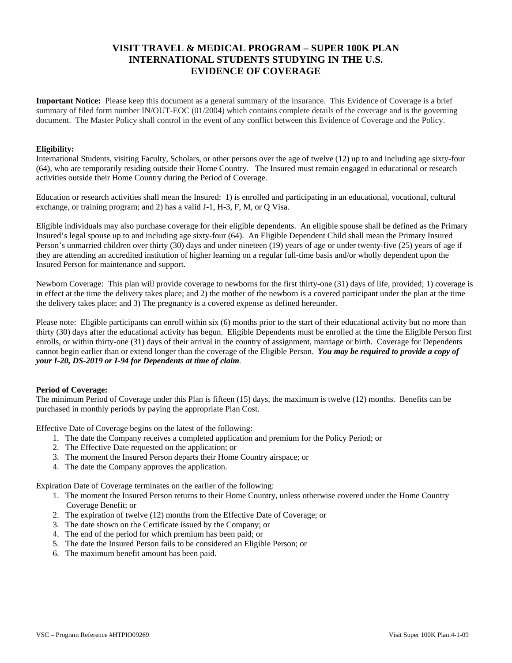# **VISIT TRAVEL & MEDICAL PROGRAM – SUPER 100K PLAN INTERNATIONAL STUDENTS STUDYING IN THE U.S. EVIDENCE OF COVERAGE**

**Important Notice:** Please keep this document as a general summary of the insurance. This Evidence of Coverage is a brief summary of filed form number IN/OUT-EOC (01/2004) which contains complete details of the coverage and is the governing document. The Master Policy shall control in the event of any conflict between this Evidence of Coverage and the Policy.

### **Eligibility:**

International Students, visiting Faculty, Scholars, or other persons over the age of twelve (12) up to and including age sixty-four (64), who are temporarily residing outside their Home Country. The Insured must remain engaged in educational or research activities outside their Home Country during the Period of Coverage.

Education or research activities shall mean the Insured: 1) is enrolled and participating in an educational, vocational, cultural exchange, or training program; and 2) has a valid J-1, H-3, F, M, or Q Visa.

Eligible individuals may also purchase coverage for their eligible dependents. An eligible spouse shall be defined as the Primary Insured's legal spouse up to and including age sixty-four (64). An Eligible Dependent Child shall mean the Primary Insured Person's unmarried children over thirty (30) days and under nineteen (19) years of age or under twenty-five (25) years of age if they are attending an accredited institution of higher learning on a regular full-time basis and/or wholly dependent upon the Insured Person for maintenance and support.

Newborn Coverage: This plan will provide coverage to newborns for the first thirty-one (31) days of life, provided; 1) coverage is in effect at the time the delivery takes place; and 2) the mother of the newborn is a covered participant under the plan at the time the delivery takes place; and 3) The pregnancy is a covered expense as defined hereunder.

Please note: Eligible participants can enroll within six (6) months prior to the start of their educational activity but no more than thirty (30) days after the educational activity has begun. Eligible Dependents must be enrolled at the time the Eligible Person first enrolls, or within thirty-one (31) days of their arrival in the country of assignment, marriage or birth. Coverage for Dependents cannot begin earlier than or extend longer than the coverage of the Eligible Person. *You may be required to provide a copy of your I-20, DS-2019 or I-94 for Dependents at time of claim.*

### **Period of Coverage:**

The minimum Period of Coverage under this Plan is fifteen (15) days, the maximum is twelve (12) months. Benefits can be purchased in monthly periods by paying the appropriate Plan Cost.

Effective Date of Coverage begins on the latest of the following:

- 1. The date the Company receives a completed application and premium for the Policy Period; or
- 2. The Effective Date requested on the application; or
- 3. The moment the Insured Person departs their Home Country airspace; or
- 4. The date the Company approves the application.

Expiration Date of Coverage terminates on the earlier of the following:

- 1. The moment the Insured Person returns to their Home Country, unless otherwise covered under the Home Country Coverage Benefit; or
- 2. The expiration of twelve (12) months from the Effective Date of Coverage; or
- 3. The date shown on the Certificate issued by the Company; or
- 4. The end of the period for which premium has been paid; or
- 5. The date the Insured Person fails to be considered an Eligible Person; or
- 6. The maximum benefit amount has been paid.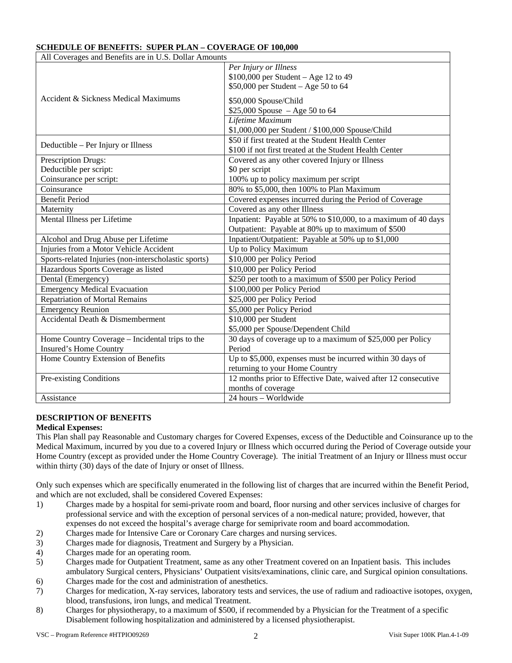| All Coverages and Benefits are in U.S. Dollar Amounts |                                                                |  |  |  |
|-------------------------------------------------------|----------------------------------------------------------------|--|--|--|
| Accident & Sickness Medical Maximums                  | Per Injury or Illness                                          |  |  |  |
|                                                       | $$100,000$ per Student - Age 12 to 49                          |  |  |  |
|                                                       | \$50,000 per Student - Age 50 to 64                            |  |  |  |
|                                                       | \$50,000 Spouse/Child                                          |  |  |  |
|                                                       | \$25,000 Spouse $-$ Age 50 to 64                               |  |  |  |
|                                                       | Lifetime Maximum                                               |  |  |  |
|                                                       | \$1,000,000 per Student / \$100,000 Spouse/Child               |  |  |  |
| Deductible – Per Injury or Illness                    | \$50 if first treated at the Student Health Center             |  |  |  |
|                                                       | \$100 if not first treated at the Student Health Center        |  |  |  |
| Prescription Drugs:                                   | Covered as any other covered Injury or Illness                 |  |  |  |
| Deductible per script:                                | \$0 per script                                                 |  |  |  |
| Coinsurance per script:                               | 100% up to policy maximum per script                           |  |  |  |
| Coinsurance                                           | 80% to \$5,000, then 100% to Plan Maximum                      |  |  |  |
| <b>Benefit Period</b>                                 | Covered expenses incurred during the Period of Coverage        |  |  |  |
| Maternity                                             | Covered as any other Illness                                   |  |  |  |
| Mental Illness per Lifetime                           | Inpatient: Payable at 50% to \$10,000, to a maximum of 40 days |  |  |  |
|                                                       | Outpatient: Payable at 80% up to maximum of \$500              |  |  |  |
| Alcohol and Drug Abuse per Lifetime                   | Inpatient/Outpatient: Payable at 50% up to \$1,000             |  |  |  |
| Injuries from a Motor Vehicle Accident                | Up to Policy Maximum                                           |  |  |  |
| Sports-related Injuries (non-interscholastic sports)  | \$10,000 per Policy Period                                     |  |  |  |
| Hazardous Sports Coverage as listed                   | \$10,000 per Policy Period                                     |  |  |  |
| Dental (Emergency)                                    | \$250 per tooth to a maximum of \$500 per Policy Period        |  |  |  |
| <b>Emergency Medical Evacuation</b>                   | \$100,000 per Policy Period                                    |  |  |  |
| <b>Repatriation of Mortal Remains</b>                 | \$25,000 per Policy Period                                     |  |  |  |
| <b>Emergency Reunion</b>                              | \$5,000 per Policy Period                                      |  |  |  |
| Accidental Death & Dismemberment                      | $\overline{$10,000}$ per Student                               |  |  |  |
|                                                       | \$5,000 per Spouse/Dependent Child                             |  |  |  |
| Home Country Coverage – Incidental trips to the       | 30 days of coverage up to a maximum of \$25,000 per Policy     |  |  |  |
| Insured's Home Country                                | Period                                                         |  |  |  |
| Home Country Extension of Benefits                    | Up to \$5,000, expenses must be incurred within 30 days of     |  |  |  |
|                                                       | returning to your Home Country                                 |  |  |  |
| Pre-existing Conditions                               | 12 months prior to Effective Date, waived after 12 consecutive |  |  |  |
|                                                       | months of coverage                                             |  |  |  |
| Assistance                                            | 24 hours - Worldwide                                           |  |  |  |

# **SCHEDULE OF BENEFITS: SUPER PLAN – COVERAGE OF 100,000**

# **DESCRIPTION OF BENEFITS**

# **Medical Expenses:**

This Plan shall pay Reasonable and Customary charges for Covered Expenses, excess of the Deductible and Coinsurance up to the Medical Maximum, incurred by you due to a covered Injury or Illness which occurred during the Period of Coverage outside your Home Country (except as provided under the Home Country Coverage). The initial Treatment of an Injury or Illness must occur within thirty (30) days of the date of Injury or onset of Illness.

Only such expenses which are specifically enumerated in the following list of charges that are incurred within the Benefit Period, and which are not excluded, shall be considered Covered Expenses:

- 1) Charges made by a hospital for semi-private room and board, floor nursing and other services inclusive of charges for professional service and with the exception of personal services of a non-medical nature; provided, however, that expenses do not exceed the hospital's average charge for semiprivate room and board accommodation.
- 2) Charges made for Intensive Care or Coronary Care charges and nursing services.
- 3) Charges made for diagnosis, Treatment and Surgery by a Physician.
- 4) Charges made for an operating room.
- 5) Charges made for Outpatient Treatment, same as any other Treatment covered on an Inpatient basis. This includes ambulatory Surgical centers, Physicians' Outpatient visits/examinations, clinic care, and Surgical opinion consultations.
- 6) Charges made for the cost and administration of anesthetics.
- 7) Charges for medication, X-ray services, laboratory tests and services, the use of radium and radioactive isotopes, oxygen, blood, transfusions, iron lungs, and medical Treatment.
- 8) Charges for physiotherapy, to a maximum of \$500, if recommended by a Physician for the Treatment of a specific Disablement following hospitalization and administered by a licensed physiotherapist.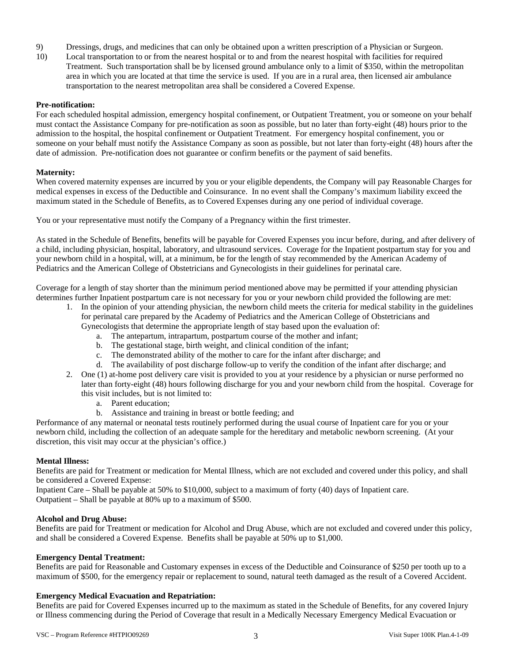- 9) Dressings, drugs, and medicines that can only be obtained upon a written prescription of a Physician or Surgeon.
- 10) Local transportation to or from the nearest hospital or to and from the nearest hospital with facilities for required Treatment. Such transportation shall be by licensed ground ambulance only to a limit of \$350, within the metropolitan area in which you are located at that time the service is used. If you are in a rural area, then licensed air ambulance transportation to the nearest metropolitan area shall be considered a Covered Expense.

### **Pre-notification:**

For each scheduled hospital admission, emergency hospital confinement, or Outpatient Treatment, you or someone on your behalf must contact the Assistance Company for pre-notification as soon as possible, but no later than forty-eight (48) hours prior to the admission to the hospital, the hospital confinement or Outpatient Treatment. For emergency hospital confinement, you or someone on your behalf must notify the Assistance Company as soon as possible, but not later than forty-eight (48) hours after the date of admission. Pre-notification does not guarantee or confirm benefits or the payment of said benefits.

### **Maternity:**

When covered maternity expenses are incurred by you or your eligible dependents, the Company will pay Reasonable Charges for medical expenses in excess of the Deductible and Coinsurance. In no event shall the Company's maximum liability exceed the maximum stated in the Schedule of Benefits, as to Covered Expenses during any one period of individual coverage.

You or your representative must notify the Company of a Pregnancy within the first trimester.

As stated in the Schedule of Benefits, benefits will be payable for Covered Expenses you incur before, during, and after delivery of a child, including physician, hospital, laboratory, and ultrasound services. Coverage for the Inpatient postpartum stay for you and your newborn child in a hospital, will, at a minimum, be for the length of stay recommended by the American Academy of Pediatrics and the American College of Obstetricians and Gynecologists in their guidelines for perinatal care.

Coverage for a length of stay shorter than the minimum period mentioned above may be permitted if your attending physician determines further Inpatient postpartum care is not necessary for you or your newborn child provided the following are met:

- 1. In the opinion of your attending physician, the newborn child meets the criteria for medical stability in the guidelines for perinatal care prepared by the Academy of Pediatrics and the American College of Obstetricians and Gynecologists that determine the appropriate length of stay based upon the evaluation of:
	- a. The antepartum, intrapartum, postpartum course of the mother and infant;
	- b. The gestational stage, birth weight, and clinical condition of the infant;
	- c. The demonstrated ability of the mother to care for the infant after discharge; and
	- d. The availability of post discharge follow-up to verify the condition of the infant after discharge; and
- 2. One (1) at-home post delivery care visit is provided to you at your residence by a physician or nurse performed no later than forty-eight (48) hours following discharge for you and your newborn child from the hospital. Coverage for this visit includes, but is not limited to:
	- a. Parent education;
	- b. Assistance and training in breast or bottle feeding; and

Performance of any maternal or neonatal tests routinely performed during the usual course of Inpatient care for you or your newborn child, including the collection of an adequate sample for the hereditary and metabolic newborn screening. (At your discretion, this visit may occur at the physician's office.)

### **Mental Illness:**

Benefits are paid for Treatment or medication for Mental Illness, which are not excluded and covered under this policy, and shall be considered a Covered Expense:

Inpatient Care – Shall be payable at 50% to \$10,000, subject to a maximum of forty (40) days of Inpatient care. Outpatient – Shall be payable at 80% up to a maximum of \$500.

### **Alcohol and Drug Abuse:**

Benefits are paid for Treatment or medication for Alcohol and Drug Abuse, which are not excluded and covered under this policy, and shall be considered a Covered Expense. Benefits shall be payable at 50% up to \$1,000.

# **Emergency Dental Treatment:**

Benefits are paid for Reasonable and Customary expenses in excess of the Deductible and Coinsurance of \$250 per tooth up to a maximum of \$500, for the emergency repair or replacement to sound, natural teeth damaged as the result of a Covered Accident.

# **Emergency Medical Evacuation and Repatriation:**

Benefits are paid for Covered Expenses incurred up to the maximum as stated in the Schedule of Benefits, for any covered Injury or Illness commencing during the Period of Coverage that result in a Medically Necessary Emergency Medical Evacuation or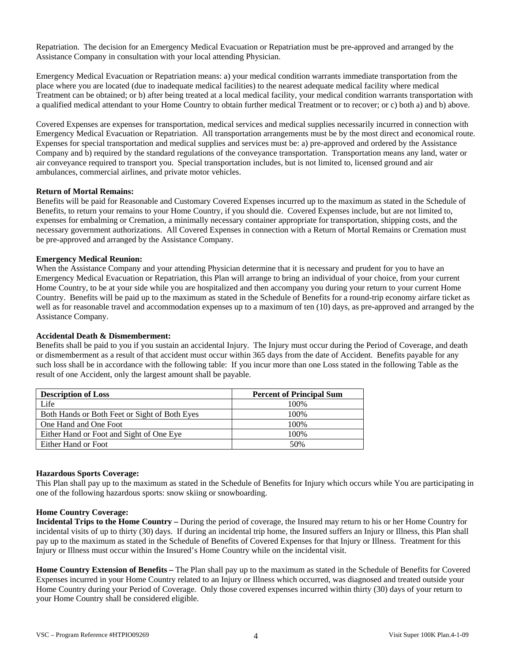Repatriation. The decision for an Emergency Medical Evacuation or Repatriation must be pre-approved and arranged by the Assistance Company in consultation with your local attending Physician.

Emergency Medical Evacuation or Repatriation means: a) your medical condition warrants immediate transportation from the place where you are located (due to inadequate medical facilities) to the nearest adequate medical facility where medical Treatment can be obtained; or b) after being treated at a local medical facility, your medical condition warrants transportation with a qualified medical attendant to your Home Country to obtain further medical Treatment or to recover; or c) both a) and b) above.

Covered Expenses are expenses for transportation, medical services and medical supplies necessarily incurred in connection with Emergency Medical Evacuation or Repatriation. All transportation arrangements must be by the most direct and economical route. Expenses for special transportation and medical supplies and services must be: a) pre-approved and ordered by the Assistance Company and b) required by the standard regulations of the conveyance transportation. Transportation means any land, water or air conveyance required to transport you. Special transportation includes, but is not limited to, licensed ground and air ambulances, commercial airlines, and private motor vehicles.

### **Return of Mortal Remains:**

Benefits will be paid for Reasonable and Customary Covered Expenses incurred up to the maximum as stated in the Schedule of Benefits, to return your remains to your Home Country, if you should die. Covered Expenses include, but are not limited to, expenses for embalming or Cremation, a minimally necessary container appropriate for transportation, shipping costs, and the necessary government authorizations. All Covered Expenses in connection with a Return of Mortal Remains or Cremation must be pre-approved and arranged by the Assistance Company.

### **Emergency Medical Reunion:**

When the Assistance Company and your attending Physician determine that it is necessary and prudent for you to have an Emergency Medical Evacuation or Repatriation, this Plan will arrange to bring an individual of your choice, from your current Home Country, to be at your side while you are hospitalized and then accompany you during your return to your current Home Country. Benefits will be paid up to the maximum as stated in the Schedule of Benefits for a round-trip economy airfare ticket as well as for reasonable travel and accommodation expenses up to a maximum of ten (10) days, as pre-approved and arranged by the Assistance Company.

### **Accidental Death & Dismemberment:**

Benefits shall be paid to you if you sustain an accidental Injury. The Injury must occur during the Period of Coverage, and death or dismemberment as a result of that accident must occur within 365 days from the date of Accident. Benefits payable for any such loss shall be in accordance with the following table: If you incur more than one Loss stated in the following Table as the result of one Accident, only the largest amount shall be payable.

| <b>Description of Loss</b>                    | <b>Percent of Principal Sum</b> |  |
|-----------------------------------------------|---------------------------------|--|
| Life                                          | 100\%                           |  |
| Both Hands or Both Feet or Sight of Both Eyes | 100\%                           |  |
| One Hand and One Foot                         | 100\%                           |  |
| Either Hand or Foot and Sight of One Eye      | 100%                            |  |
| Either Hand or Foot                           | 50%                             |  |

### **Hazardous Sports Coverage:**

This Plan shall pay up to the maximum as stated in the Schedule of Benefits for Injury which occurs while You are participating in one of the following hazardous sports: snow skiing or snowboarding.

### **Home Country Coverage:**

**Incidental Trips to the Home Country –** During the period of coverage, the Insured may return to his or her Home Country for incidental visits of up to thirty (30) days. If during an incidental trip home, the Insured suffers an Injury or Illness, this Plan shall pay up to the maximum as stated in the Schedule of Benefits of Covered Expenses for that Injury or Illness. Treatment for this Injury or Illness must occur within the Insured's Home Country while on the incidental visit.

**Home Country Extension of Benefits –** The Plan shall pay up to the maximum as stated in the Schedule of Benefits for Covered Expenses incurred in your Home Country related to an Injury or Illness which occurred, was diagnosed and treated outside your Home Country during your Period of Coverage. Only those covered expenses incurred within thirty (30) days of your return to your Home Country shall be considered eligible.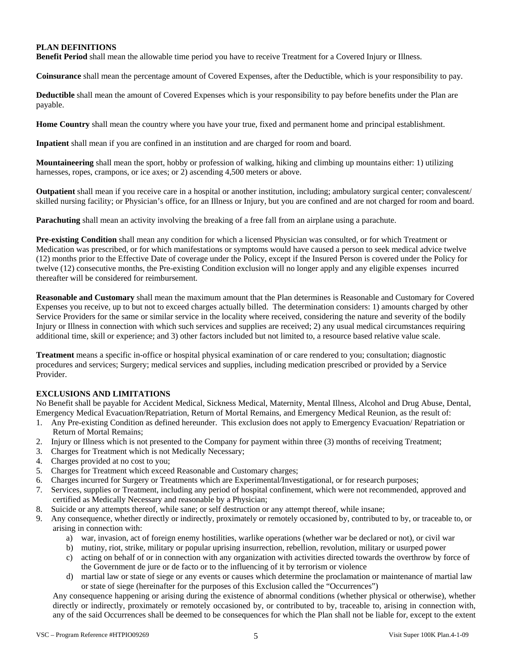# **PLAN DEFINITIONS**

**Benefit Period** shall mean the allowable time period you have to receive Treatment for a Covered Injury or Illness.

**Coinsurance** shall mean the percentage amount of Covered Expenses, after the Deductible, which is your responsibility to pay.

**Deductible** shall mean the amount of Covered Expenses which is your responsibility to pay before benefits under the Plan are payable.

**Home Country** shall mean the country where you have your true, fixed and permanent home and principal establishment.

**Inpatient** shall mean if you are confined in an institution and are charged for room and board.

**Mountaineering** shall mean the sport, hobby or profession of walking, hiking and climbing up mountains either: 1) utilizing harnesses, ropes, crampons, or ice axes; or 2) ascending 4,500 meters or above.

**Outpatient** shall mean if you receive care in a hospital or another institution, including; ambulatory surgical center; convalescent/ skilled nursing facility; or Physician's office, for an Illness or Injury, but you are confined and are not charged for room and board.

**Parachuting** shall mean an activity involving the breaking of a free fall from an airplane using a parachute.

**Pre-existing Condition** shall mean any condition for which a licensed Physician was consulted, or for which Treatment or Medication was prescribed, or for which manifestations or symptoms would have caused a person to seek medical advice twelve (12) months prior to the Effective Date of coverage under the Policy, except if the Insured Person is covered under the Policy for twelve (12) consecutive months, the Pre-existing Condition exclusion will no longer apply and any eligible expenses incurred thereafter will be considered for reimbursement.

**Reasonable and Customary** shall mean the maximum amount that the Plan determines is Reasonable and Customary for Covered Expenses you receive, up to but not to exceed charges actually billed. The determination considers: 1) amounts charged by other Service Providers for the same or similar service in the locality where received, considering the nature and severity of the bodily Injury or Illness in connection with which such services and supplies are received; 2) any usual medical circumstances requiring additional time, skill or experience; and 3) other factors included but not limited to, a resource based relative value scale.

**Treatment** means a specific in-office or hospital physical examination of or care rendered to you; consultation; diagnostic procedures and services; Surgery; medical services and supplies, including medication prescribed or provided by a Service Provider.

# **EXCLUSIONS AND LIMITATIONS**

No Benefit shall be payable for Accident Medical, Sickness Medical, Maternity, Mental Illness, Alcohol and Drug Abuse, Dental, Emergency Medical Evacuation/Repatriation, Return of Mortal Remains, and Emergency Medical Reunion, as the result of:

- 1. Any Pre-existing Condition as defined hereunder. This exclusion does not apply to Emergency Evacuation/ Repatriation or Return of Mortal Remains;
- 2. Injury or Illness which is not presented to the Company for payment within three (3) months of receiving Treatment;
- 3. Charges for Treatment which is not Medically Necessary;
- 4. Charges provided at no cost to you;
- 5. Charges for Treatment which exceed Reasonable and Customary charges;
- 6. Charges incurred for Surgery or Treatments which are Experimental/Investigational, or for research purposes;
- 7. Services, supplies or Treatment, including any period of hospital confinement, which were not recommended, approved and certified as Medically Necessary and reasonable by a Physician;
- 8. Suicide or any attempts thereof, while sane; or self destruction or any attempt thereof, while insane;
- 9. Any consequence, whether directly or indirectly, proximately or remotely occasioned by, contributed to by, or traceable to, or arising in connection with:
	- a) war, invasion, act of foreign enemy hostilities, warlike operations (whether war be declared or not), or civil war
	- b) mutiny, riot, strike, military or popular uprising insurrection, rebellion, revolution, military or usurped power
	- c) acting on behalf of or in connection with any organization with activities directed towards the overthrow by force of the Government de jure or de facto or to the influencing of it by terrorism or violence
	- d) martial law or state of siege or any events or causes which determine the proclamation or maintenance of martial law or state of siege (hereinafter for the purposes of this Exclusion called the "Occurrences")

Any consequence happening or arising during the existence of abnormal conditions (whether physical or otherwise), whether directly or indirectly, proximately or remotely occasioned by, or contributed to by, traceable to, arising in connection with, any of the said Occurrences shall be deemed to be consequences for which the Plan shall not be liable for, except to the extent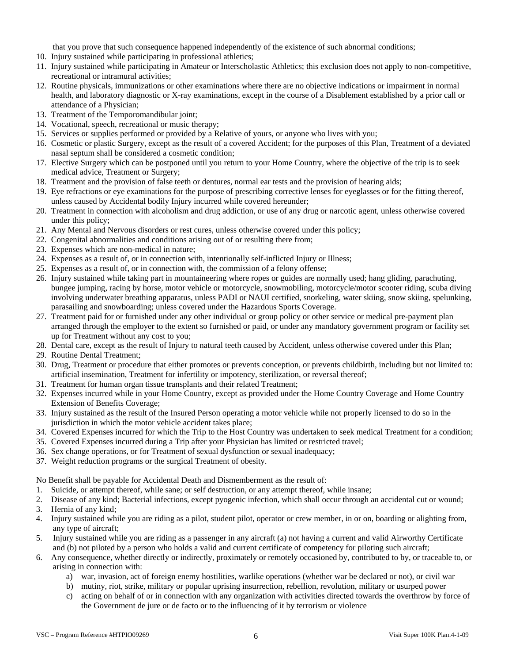that you prove that such consequence happened independently of the existence of such abnormal conditions;

- 10. Injury sustained while participating in professional athletics;
- 11. Injury sustained while participating in Amateur or Interscholastic Athletics; this exclusion does not apply to non-competitive, recreational or intramural activities;
- 12. Routine physicals, immunizations or other examinations where there are no objective indications or impairment in normal health, and laboratory diagnostic or X-ray examinations, except in the course of a Disablement established by a prior call or attendance of a Physician;
- 13. Treatment of the Temporomandibular joint;
- 14. Vocational, speech, recreational or music therapy;
- 15. Services or supplies performed or provided by a Relative of yours, or anyone who lives with you;
- 16. Cosmetic or plastic Surgery, except as the result of a covered Accident; for the purposes of this Plan, Treatment of a deviated nasal septum shall be considered a cosmetic condition;
- 17. Elective Surgery which can be postponed until you return to your Home Country, where the objective of the trip is to seek medical advice, Treatment or Surgery;
- 18. Treatment and the provision of false teeth or dentures, normal ear tests and the provision of hearing aids;
- 19. Eye refractions or eye examinations for the purpose of prescribing corrective lenses for eyeglasses or for the fitting thereof, unless caused by Accidental bodily Injury incurred while covered hereunder;
- 20. Treatment in connection with alcoholism and drug addiction, or use of any drug or narcotic agent, unless otherwise covered under this policy;
- 21. Any Mental and Nervous disorders or rest cures, unless otherwise covered under this policy;
- 22. Congenital abnormalities and conditions arising out of or resulting there from;
- 23. Expenses which are non-medical in nature;
- 24. Expenses as a result of, or in connection with, intentionally self-inflicted Injury or Illness;
- 25. Expenses as a result of, or in connection with, the commission of a felony offense;
- 26. Injury sustained while taking part in mountaineering where ropes or guides are normally used; hang gliding, parachuting, bungee jumping, racing by horse, motor vehicle or motorcycle, snowmobiling, motorcycle/motor scooter riding, scuba diving involving underwater breathing apparatus, unless PADI or NAUI certified, snorkeling, water skiing, snow skiing, spelunking, parasailing and snowboarding; unless covered under the Hazardous Sports Coverage.
- 27. Treatment paid for or furnished under any other individual or group policy or other service or medical pre-payment plan arranged through the employer to the extent so furnished or paid, or under any mandatory government program or facility set up for Treatment without any cost to you;
- 28. Dental care, except as the result of Injury to natural teeth caused by Accident, unless otherwise covered under this Plan;
- 29. Routine Dental Treatment;
- 30. Drug, Treatment or procedure that either promotes or prevents conception, or prevents childbirth, including but not limited to: artificial insemination, Treatment for infertility or impotency, sterilization, or reversal thereof;
- 31. Treatment for human organ tissue transplants and their related Treatment;
- 32. Expenses incurred while in your Home Country, except as provided under the Home Country Coverage and Home Country Extension of Benefits Coverage;
- 33. Injury sustained as the result of the Insured Person operating a motor vehicle while not properly licensed to do so in the jurisdiction in which the motor vehicle accident takes place;
- 34. Covered Expenses incurred for which the Trip to the Host Country was undertaken to seek medical Treatment for a condition;
- 35. Covered Expenses incurred during a Trip after your Physician has limited or restricted travel;
- 36. Sex change operations, or for Treatment of sexual dysfunction or sexual inadequacy;
- 37. Weight reduction programs or the surgical Treatment of obesity.

No Benefit shall be payable for Accidental Death and Dismemberment as the result of:

- 1. Suicide, or attempt thereof, while sane; or self destruction, or any attempt thereof, while insane;
- 2. Disease of any kind; Bacterial infections, except pyogenic infection, which shall occur through an accidental cut or wound;
- 3. Hernia of any kind;
- 4. Injury sustained while you are riding as a pilot, student pilot, operator or crew member, in or on, boarding or alighting from, any type of aircraft;
- 5. Injury sustained while you are riding as a passenger in any aircraft (a) not having a current and valid Airworthy Certificate and (b) not piloted by a person who holds a valid and current certificate of competency for piloting such aircraft;
- 6. Any consequence, whether directly or indirectly, proximately or remotely occasioned by, contributed to by, or traceable to, or arising in connection with:
	- a) war, invasion, act of foreign enemy hostilities, warlike operations (whether war be declared or not), or civil war
	- b) mutiny, riot, strike, military or popular uprising insurrection, rebellion, revolution, military or usurped power
	- c) acting on behalf of or in connection with any organization with activities directed towards the overthrow by force of the Government de jure or de facto or to the influencing of it by terrorism or violence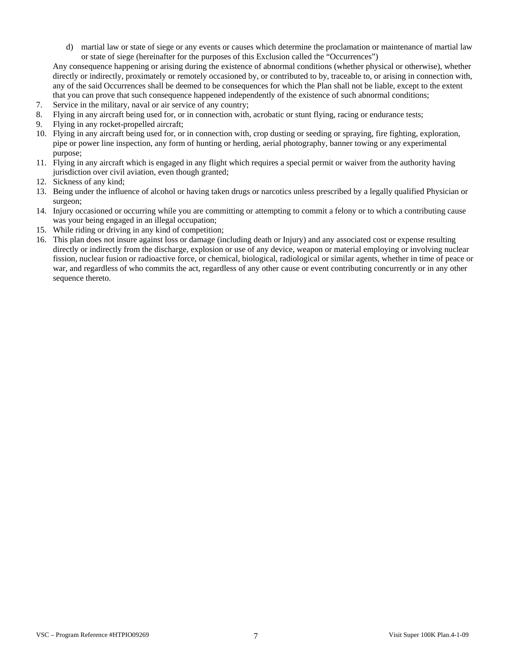d) martial law or state of siege or any events or causes which determine the proclamation or maintenance of martial law or state of siege (hereinafter for the purposes of this Exclusion called the "Occurrences")

Any consequence happening or arising during the existence of abnormal conditions (whether physical or otherwise), whether directly or indirectly, proximately or remotely occasioned by, or contributed to by, traceable to, or arising in connection with, any of the said Occurrences shall be deemed to be consequences for which the Plan shall not be liable, except to the extent that you can prove that such consequence happened independently of the existence of such abnormal conditions;

- 7. Service in the military, naval or air service of any country;
- 8. Flying in any aircraft being used for, or in connection with, acrobatic or stunt flying, racing or endurance tests;
- 9. Flying in any rocket-propelled aircraft;
- 10. Flying in any aircraft being used for, or in connection with, crop dusting or seeding or spraying, fire fighting, exploration, pipe or power line inspection, any form of hunting or herding, aerial photography, banner towing or any experimental purpose;
- 11. Flying in any aircraft which is engaged in any flight which requires a special permit or waiver from the authority having jurisdiction over civil aviation, even though granted;
- 12. Sickness of any kind;
- 13. Being under the influence of alcohol or having taken drugs or narcotics unless prescribed by a legally qualified Physician or surgeon;
- 14. Injury occasioned or occurring while you are committing or attempting to commit a felony or to which a contributing cause was your being engaged in an illegal occupation;
- 15. While riding or driving in any kind of competition;
- 16. This plan does not insure against loss or damage (including death or Injury) and any associated cost or expense resulting directly or indirectly from the discharge, explosion or use of any device, weapon or material employing or involving nuclear fission, nuclear fusion or radioactive force, or chemical, biological, radiological or similar agents, whether in time of peace or war, and regardless of who commits the act, regardless of any other cause or event contributing concurrently or in any other sequence thereto.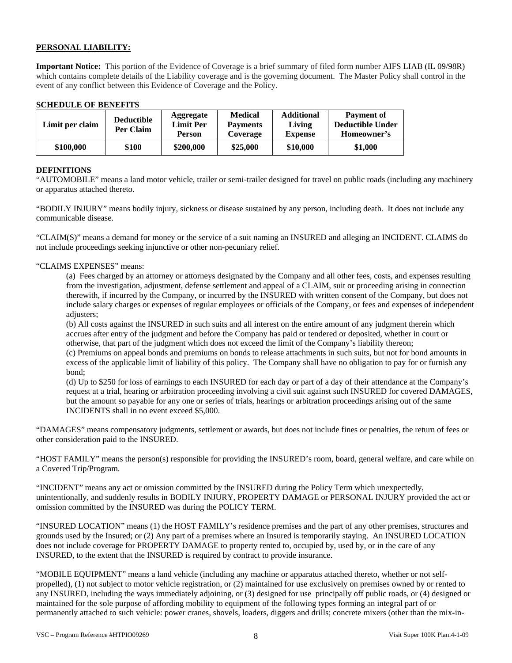# **PERSONAL LIABILITY:**

**Important Notice:** This portion of the Evidence of Coverage is a brief summary of filed form number AIFS LIAB (IL 09/98R) which contains complete details of the Liability coverage and is the governing document. The Master Policy shall control in the event of any conflict between this Evidence of Coverage and the Policy.

### **SCHEDULE OF BENEFITS**

| Limit per claim | <b>Deductible</b><br>Per Claim | Aggregate<br><b>Limit Per</b><br>Person | <b>Medical</b><br><b>Payments</b><br>Coverage | <b>Additional</b><br>Living<br><b>Expense</b> | <b>Payment of</b><br><b>Deductible Under</b><br>Homeowner's |
|-----------------|--------------------------------|-----------------------------------------|-----------------------------------------------|-----------------------------------------------|-------------------------------------------------------------|
| \$100,000       | \$100                          | \$200,000                               | \$25,000                                      | \$10,000                                      | \$1,000                                                     |

### **DEFINITIONS**

"AUTOMOBILE" means a land motor vehicle, trailer or semi-trailer designed for travel on public roads (including any machinery or apparatus attached thereto.

"BODILY INJURY" means bodily injury, sickness or disease sustained by any person, including death. It does not include any communicable disease.

"CLAIM(S)" means a demand for money or the service of a suit naming an INSURED and alleging an INCIDENT. CLAIMS do not include proceedings seeking injunctive or other non-pecuniary relief.

### "CLAIMS EXPENSES" means:

(a) Fees charged by an attorney or attorneys designated by the Company and all other fees, costs, and expenses resulting from the investigation, adjustment, defense settlement and appeal of a CLAIM, suit or proceeding arising in connection therewith, if incurred by the Company, or incurred by the INSURED with written consent of the Company, but does not include salary charges or expenses of regular employees or officials of the Company, or fees and expenses of independent adjusters;

(b) All costs against the INSURED in such suits and all interest on the entire amount of any judgment therein which accrues after entry of the judgment and before the Company has paid or tendered or deposited, whether in court or otherwise, that part of the judgment which does not exceed the limit of the Company's liability thereon;

(c) Premiums on appeal bonds and premiums on bonds to release attachments in such suits, but not for bond amounts in excess of the applicable limit of liability of this policy. The Company shall have no obligation to pay for or furnish any bond;

(d) Up to \$250 for loss of earnings to each INSURED for each day or part of a day of their attendance at the Company's request at a trial, hearing or arbitration proceeding involving a civil suit against such INSURED for covered DAMAGES, but the amount so payable for any one or series of trials, hearings or arbitration proceedings arising out of the same INCIDENTS shall in no event exceed \$5,000.

"DAMAGES" means compensatory judgments, settlement or awards, but does not include fines or penalties, the return of fees or other consideration paid to the INSURED.

"HOST FAMILY" means the person(s) responsible for providing the INSURED's room, board, general welfare, and care while on a Covered Trip/Program.

"INCIDENT" means any act or omission committed by the INSURED during the Policy Term which unexpectedly, unintentionally, and suddenly results in BODILY INJURY, PROPERTY DAMAGE or PERSONAL INJURY provided the act or omission committed by the INSURED was during the POLICY TERM.

"INSURED LOCATION" means (1) the HOST FAMILY's residence premises and the part of any other premises, structures and grounds used by the Insured; or (2) Any part of a premises where an Insured is temporarily staying. An INSURED LOCATION does not include coverage for PROPERTY DAMAGE to property rented to, occupied by, used by, or in the care of any INSURED, to the extent that the INSURED is required by contract to provide insurance.

"MOBILE EQUIPMENT" means a land vehicle (including any machine or apparatus attached thereto, whether or not selfpropelled), (1) not subject to motor vehicle registration, or (2) maintained for use exclusively on premises owned by or rented to any INSURED, including the ways immediately adjoining, or (3) designed for use principally off public roads, or (4) designed or maintained for the sole purpose of affording mobility to equipment of the following types forming an integral part of or permanently attached to such vehicle: power cranes, shovels, loaders, diggers and drills; concrete mixers (other than the mix-in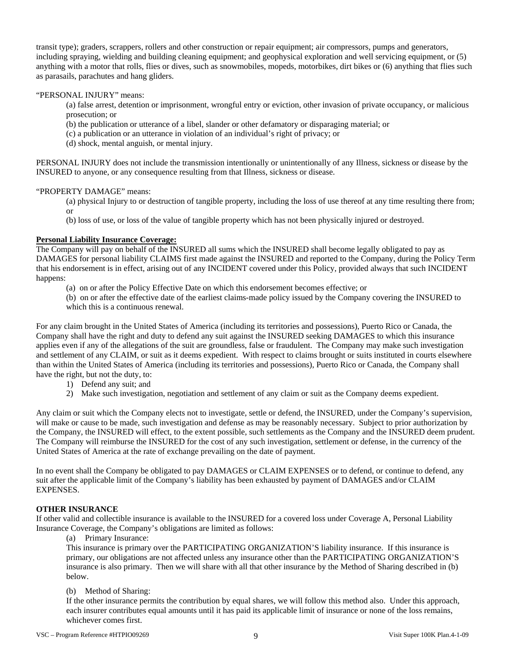transit type); graders, scrappers, rollers and other construction or repair equipment; air compressors, pumps and generators, including spraying, wielding and building cleaning equipment; and geophysical exploration and well servicing equipment, or (5) anything with a motor that rolls, flies or dives, such as snowmobiles, mopeds, motorbikes, dirt bikes or (6) anything that flies such as parasails, parachutes and hang gliders.

### "PERSONAL INJURY" means:

(a) false arrest, detention or imprisonment, wrongful entry or eviction, other invasion of private occupancy, or malicious prosecution; or

- (b) the publication or utterance of a libel, slander or other defamatory or disparaging material; or
- (c) a publication or an utterance in violation of an individual's right of privacy; or
- (d) shock, mental anguish, or mental injury.

PERSONAL INJURY does not include the transmission intentionally or unintentionally of any Illness, sickness or disease by the INSURED to anyone, or any consequence resulting from that Illness, sickness or disease.

### "PROPERTY DAMAGE" means:

(a) physical Injury to or destruction of tangible property, including the loss of use thereof at any time resulting there from; or

(b) loss of use, or loss of the value of tangible property which has not been physically injured or destroyed.

# **Personal Liability Insurance Coverage:**

The Company will pay on behalf of the INSURED all sums which the INSURED shall become legally obligated to pay as DAMAGES for personal liability CLAIMS first made against the INSURED and reported to the Company, during the Policy Term that his endorsement is in effect, arising out of any INCIDENT covered under this Policy, provided always that such INCIDENT happens:

- (a) on or after the Policy Effective Date on which this endorsement becomes effective; or
- (b) on or after the effective date of the earliest claims-made policy issued by the Company covering the INSURED to which this is a continuous renewal.

For any claim brought in the United States of America (including its territories and possessions), Puerto Rico or Canada, the Company shall have the right and duty to defend any suit against the INSURED seeking DAMAGES to which this insurance applies even if any of the allegations of the suit are groundless, false or fraudulent. The Company may make such investigation and settlement of any CLAIM, or suit as it deems expedient. With respect to claims brought or suits instituted in courts elsewhere than within the United States of America (including its territories and possessions), Puerto Rico or Canada, the Company shall have the right, but not the duty, to:

- 1) Defend any suit; and
- 2) Make such investigation, negotiation and settlement of any claim or suit as the Company deems expedient.

Any claim or suit which the Company elects not to investigate, settle or defend, the INSURED, under the Company's supervision, will make or cause to be made, such investigation and defense as may be reasonably necessary. Subject to prior authorization by the Company, the INSURED will effect, to the extent possible, such settlements as the Company and the INSURED deem prudent. The Company will reimburse the INSURED for the cost of any such investigation, settlement or defense, in the currency of the United States of America at the rate of exchange prevailing on the date of payment.

In no event shall the Company be obligated to pay DAMAGES or CLAIM EXPENSES or to defend, or continue to defend, any suit after the applicable limit of the Company's liability has been exhausted by payment of DAMAGES and/or CLAIM EXPENSES.

### **OTHER INSURANCE**

If other valid and collectible insurance is available to the INSURED for a covered loss under Coverage A, Personal Liability Insurance Coverage, the Company's obligations are limited as follows:

(a) Primary Insurance:

This insurance is primary over the PARTICIPATING ORGANIZATION'S liability insurance. If this insurance is primary, our obligations are not affected unless any insurance other than the PARTICIPATING ORGANIZATION'S insurance is also primary. Then we will share with all that other insurance by the Method of Sharing described in (b) below.

# (b) Method of Sharing:

If the other insurance permits the contribution by equal shares, we will follow this method also. Under this approach, each insurer contributes equal amounts until it has paid its applicable limit of insurance or none of the loss remains, whichever comes first.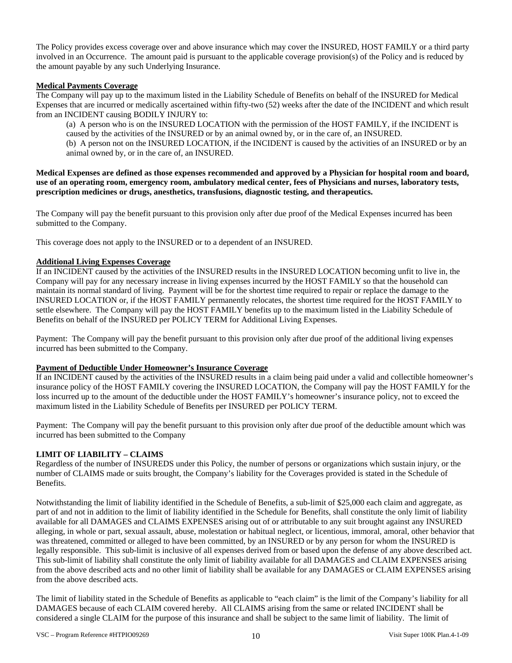The Policy provides excess coverage over and above insurance which may cover the INSURED, HOST FAMILY or a third party involved in an Occurrence. The amount paid is pursuant to the applicable coverage provision(s) of the Policy and is reduced by the amount payable by any such Underlying Insurance.

### **Medical Payments Coverage**

The Company will pay up to the maximum listed in the Liability Schedule of Benefits on behalf of the INSURED for Medical Expenses that are incurred or medically ascertained within fifty-two (52) weeks after the date of the INCIDENT and which result from an INCIDENT causing BODILY INJURY to:

(a) A person who is on the INSURED LOCATION with the permission of the HOST FAMILY, if the INCIDENT is caused by the activities of the INSURED or by an animal owned by, or in the care of, an INSURED.

(b) A person not on the INSURED LOCATION, if the INCIDENT is caused by the activities of an INSURED or by an animal owned by, or in the care of, an INSURED.

### **Medical Expenses are defined as those expenses recommended and approved by a Physician for hospital room and board, use of an operating room, emergency room, ambulatory medical center, fees of Physicians and nurses, laboratory tests, prescription medicines or drugs, anesthetics, transfusions, diagnostic testing, and therapeutics.**

The Company will pay the benefit pursuant to this provision only after due proof of the Medical Expenses incurred has been submitted to the Company.

This coverage does not apply to the INSURED or to a dependent of an INSURED.

# **Additional Living Expenses Coverage**

If an INCIDENT caused by the activities of the INSURED results in the INSURED LOCATION becoming unfit to live in, the Company will pay for any necessary increase in living expenses incurred by the HOST FAMILY so that the household can maintain its normal standard of living. Payment will be for the shortest time required to repair or replace the damage to the INSURED LOCATION or, if the HOST FAMILY permanently relocates, the shortest time required for the HOST FAMILY to settle elsewhere. The Company will pay the HOST FAMILY benefits up to the maximum listed in the Liability Schedule of Benefits on behalf of the INSURED per POLICY TERM for Additional Living Expenses.

Payment: The Company will pay the benefit pursuant to this provision only after due proof of the additional living expenses incurred has been submitted to the Company.

### **Payment of Deductible Under Homeowner's Insurance Coverage**

If an INCIDENT caused by the activities of the INSURED results in a claim being paid under a valid and collectible homeowner's insurance policy of the HOST FAMILY covering the INSURED LOCATION, the Company will pay the HOST FAMILY for the loss incurred up to the amount of the deductible under the HOST FAMILY's homeowner's insurance policy, not to exceed the maximum listed in the Liability Schedule of Benefits per INSURED per POLICY TERM.

Payment: The Company will pay the benefit pursuant to this provision only after due proof of the deductible amount which was incurred has been submitted to the Company

# **LIMIT OF LIABILITY – CLAIMS**

Regardless of the number of INSUREDS under this Policy, the number of persons or organizations which sustain injury, or the number of CLAIMS made or suits brought, the Company's liability for the Coverages provided is stated in the Schedule of Benefits.

Notwithstanding the limit of liability identified in the Schedule of Benefits, a sub-limit of \$25,000 each claim and aggregate, as part of and not in addition to the limit of liability identified in the Schedule for Benefits, shall constitute the only limit of liability available for all DAMAGES and CLAIMS EXPENSES arising out of or attributable to any suit brought against any INSURED alleging, in whole or part, sexual assault, abuse, molestation or habitual neglect, or licentious, immoral, amoral, other behavior that was threatened, committed or alleged to have been committed, by an INSURED or by any person for whom the INSURED is legally responsible. This sub-limit is inclusive of all expenses derived from or based upon the defense of any above described act. This sub-limit of liability shall constitute the only limit of liability available for all DAMAGES and CLAIM EXPENSES arising from the above described acts and no other limit of liability shall be available for any DAMAGES or CLAIM EXPENSES arising from the above described acts.

The limit of liability stated in the Schedule of Benefits as applicable to "each claim" is the limit of the Company's liability for all DAMAGES because of each CLAIM covered hereby. All CLAIMS arising from the same or related INCIDENT shall be considered a single CLAIM for the purpose of this insurance and shall be subject to the same limit of liability. The limit of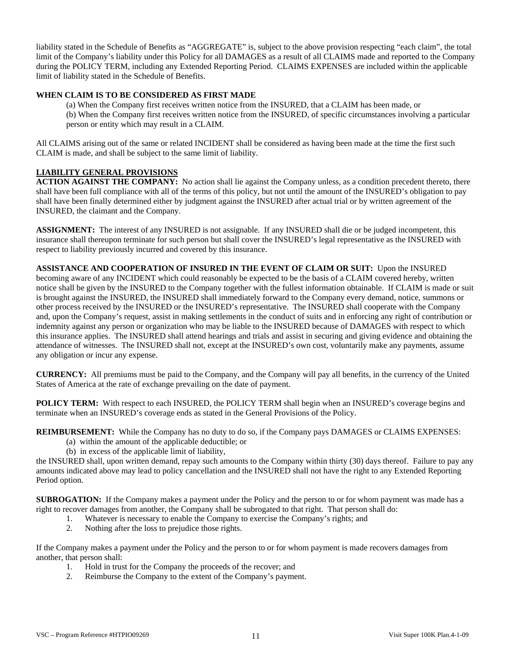liability stated in the Schedule of Benefits as "AGGREGATE" is, subject to the above provision respecting "each claim", the total limit of the Company's liability under this Policy for all DAMAGES as a result of all CLAIMS made and reported to the Company during the POLICY TERM, including any Extended Reporting Period. CLAIMS EXPENSES are included within the applicable limit of liability stated in the Schedule of Benefits.

# **WHEN CLAIM IS TO BE CONSIDERED AS FIRST MADE**

(a) When the Company first receives written notice from the INSURED, that a CLAIM has been made, or (b) When the Company first receives written notice from the INSURED, of specific circumstances involving a particular person or entity which may result in a CLAIM.

All CLAIMS arising out of the same or related INCIDENT shall be considered as having been made at the time the first such CLAIM is made, and shall be subject to the same limit of liability.

### **LIABILITY GENERAL PROVISIONS**

**ACTION AGAINST THE COMPANY:** No action shall lie against the Company unless, as a condition precedent thereto, there shall have been full compliance with all of the terms of this policy, but not until the amount of the INSURED's obligation to pay shall have been finally determined either by judgment against the INSURED after actual trial or by written agreement of the INSURED, the claimant and the Company.

**ASSIGNMENT:** The interest of any INSURED is not assignable. If any INSURED shall die or be judged incompetent, this insurance shall thereupon terminate for such person but shall cover the INSURED's legal representative as the INSURED with respect to liability previously incurred and covered by this insurance.

**ASSISTANCE AND COOPERATION OF INSURED IN THE EVENT OF CLAIM OR SUIT:** Upon the INSURED becoming aware of any INCIDENT which could reasonably be expected to be the basis of a CLAIM covered hereby, written notice shall be given by the INSURED to the Company together with the fullest information obtainable. If CLAIM is made or suit is brought against the INSURED, the INSURED shall immediately forward to the Company every demand, notice, summons or other process received by the INSURED or the INSURED's representative. The INSURED shall cooperate with the Company and, upon the Company's request, assist in making settlements in the conduct of suits and in enforcing any right of contribution or indemnity against any person or organization who may be liable to the INSURED because of DAMAGES with respect to which this insurance applies. The INSURED shall attend hearings and trials and assist in securing and giving evidence and obtaining the attendance of witnesses. The INSURED shall not, except at the INSURED's own cost, voluntarily make any payments, assume any obligation or incur any expense.

**CURRENCY:** All premiums must be paid to the Company, and the Company will pay all benefits, in the currency of the United States of America at the rate of exchange prevailing on the date of payment.

**POLICY TERM:** With respect to each INSURED, the POLICY TERM shall begin when an INSURED's coverage begins and terminate when an INSURED's coverage ends as stated in the General Provisions of the Policy.

**REIMBURSEMENT:** While the Company has no duty to do so, if the Company pays DAMAGES or CLAIMS EXPENSES:

- (a) within the amount of the applicable deductible; or
- (b) in excess of the applicable limit of liability,

the INSURED shall, upon written demand, repay such amounts to the Company within thirty (30) days thereof. Failure to pay any amounts indicated above may lead to policy cancellation and the INSURED shall not have the right to any Extended Reporting Period option.

**SUBROGATION:** If the Company makes a payment under the Policy and the person to or for whom payment was made has a right to recover damages from another, the Company shall be subrogated to that right. That person shall do:

- 1. Whatever is necessary to enable the Company to exercise the Company's rights; and
- 2. Nothing after the loss to prejudice those rights.

If the Company makes a payment under the Policy and the person to or for whom payment is made recovers damages from another, that person shall:

- 1. Hold in trust for the Company the proceeds of the recover; and
- 2. Reimburse the Company to the extent of the Company's payment.